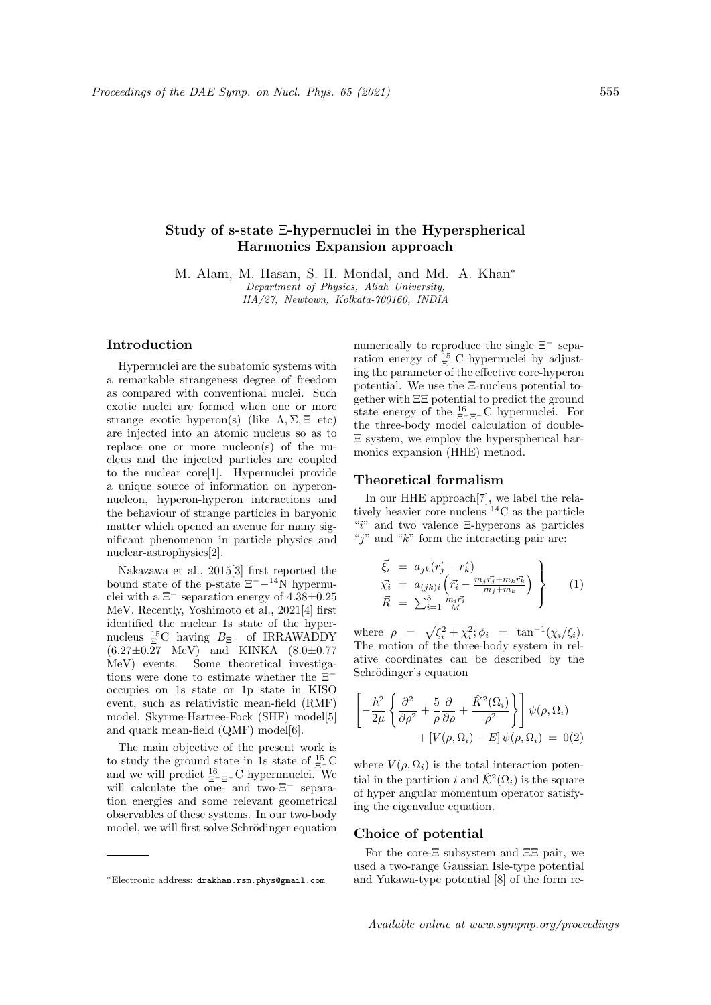# Study of s-state Ξ-hypernuclei in the Hyperspherical Harmonics Expansion approach

M. Alam, M. Hasan, S. H. Mondal, and Md. A. Khan<sup>∗</sup> Department of Physics, Aliah University, IIA/27, Newtown, Kolkata-700160, INDIA

## Introduction

Hypernuclei are the subatomic systems with a remarkable strangeness degree of freedom as compared with conventional nuclei. Such exotic nuclei are formed when one or more strange exotic hyperon(s) (like  $\Lambda$ ,  $\Sigma$ ,  $\Xi$  etc) are injected into an atomic nucleus so as to replace one or more nucleon(s) of the nucleus and the injected particles are coupled to the nuclear core[1]. Hypernuclei provide a unique source of information on hyperonnucleon, hyperon-hyperon interactions and the behaviour of strange particles in baryonic matter which opened an avenue for many significant phenomenon in particle physics and nuclear-astrophysics[2].

Nakazawa et al., 2015[3] first reported the bound state of the p-state  $\Xi^{-}$ - $^{14}$ N hypernuclei with a  $\Xi^-$  separation energy of 4.38 $\pm$ 0.25 MeV. Recently, Yoshimoto et al., 2021[4] first identified the nuclear 1s state of the hypernucleus  ${}^{15}_{\Xi}$ C having  $B_{\Xi^-}$  of IRRAWADDY  $(6.27 \pm 0.27 \text{ MeV})$  and KINKA  $(8.0 \pm 0.77$ MeV) events. Some theoretical investigations were done to estimate whether the Ξ<sup>−</sup> occupies on 1s state or 1p state in KISO event, such as relativistic mean-field (RMF) model, Skyrme-Hartree-Fock (SHF) model[5] and quark mean-field (QMF) model[6].

The main objective of the present work is to study the ground state in 1s state of  $\frac{15}{5}$ C and we will predict  $\frac{16}{\Xi-\Xi}$ - C hypernnuclei. We will calculate the one- and two- $\Xi$ <sup>-</sup> separation energies and some relevant geometrical observables of these systems. In our two-body model, we will first solve Schrödinger equation numerically to reproduce the single  $\Xi^-$  separation energy of  $\frac{15}{5}$ C hypernuclei by adjusting the parameter of the effective core-hyperon potential. We use the Ξ-nucleus potential together with ΞΞ potential to predict the ground state energy of the  $\frac{16}{5-5-}C$  hypernuclei. For the three-body model calculation of double-Ξ system, we employ the hyperspherical harmonics expansion (HHE) method.

### Theoretical formalism

In our HHE approach[7], we label the relatively heavier core nucleus <sup>14</sup>C as the particle "i" and two valence  $\Xi$ -hyperons as particles "j" and " $k$ " form the interacting pair are:

$$
\begin{aligned}\n\vec{\xi}_i &= a_{jk}(\vec{r}_j - \vec{r}_k) \\
\vec{\chi}_i &= a_{(jk)i} (\vec{r}_i - \frac{m_j \vec{r}_j + m_k \vec{r}_k}{m_j + m_k}) \\
\vec{R} &= \sum_{i=1}^3 \frac{m_i \vec{r}_i}{M}\n\end{aligned}
$$
\n(1)

where  $\rho = \sqrt{\xi_i^2 + \chi_i^2}$ ;  $\phi_i = \tan^{-1}(\chi_i/\xi_i)$ . The motion of the three-body system in relative coordinates can be described by the Schrödinger's equation

$$
\left[-\frac{\hbar^2}{2\mu}\left\{\frac{\partial^2}{\partial\rho^2} + \frac{5}{\rho}\frac{\partial}{\partial\rho} + \frac{\hat{K}^2(\Omega_i)}{\rho^2}\right\}\right]\psi(\rho,\Omega_i) + [V(\rho,\Omega_i) - E]\psi(\rho,\Omega_i) = 0(2)
$$

where  $V(\rho, \Omega_i)$  is the total interaction potential in the partition i and  $\hat{\mathcal{K}}^2(\Omega_i)$  is the square of hyper angular momentum operator satisfying the eigenvalue equation.

### Choice of potential

For the core-Ξ subsystem and ΞΞ pair, we used a two-range Gaussian Isle-type potential and Yukawa-type potential [8] of the form re-

<sup>∗</sup>Electronic address: drakhan.rsm.phys@gmail.com